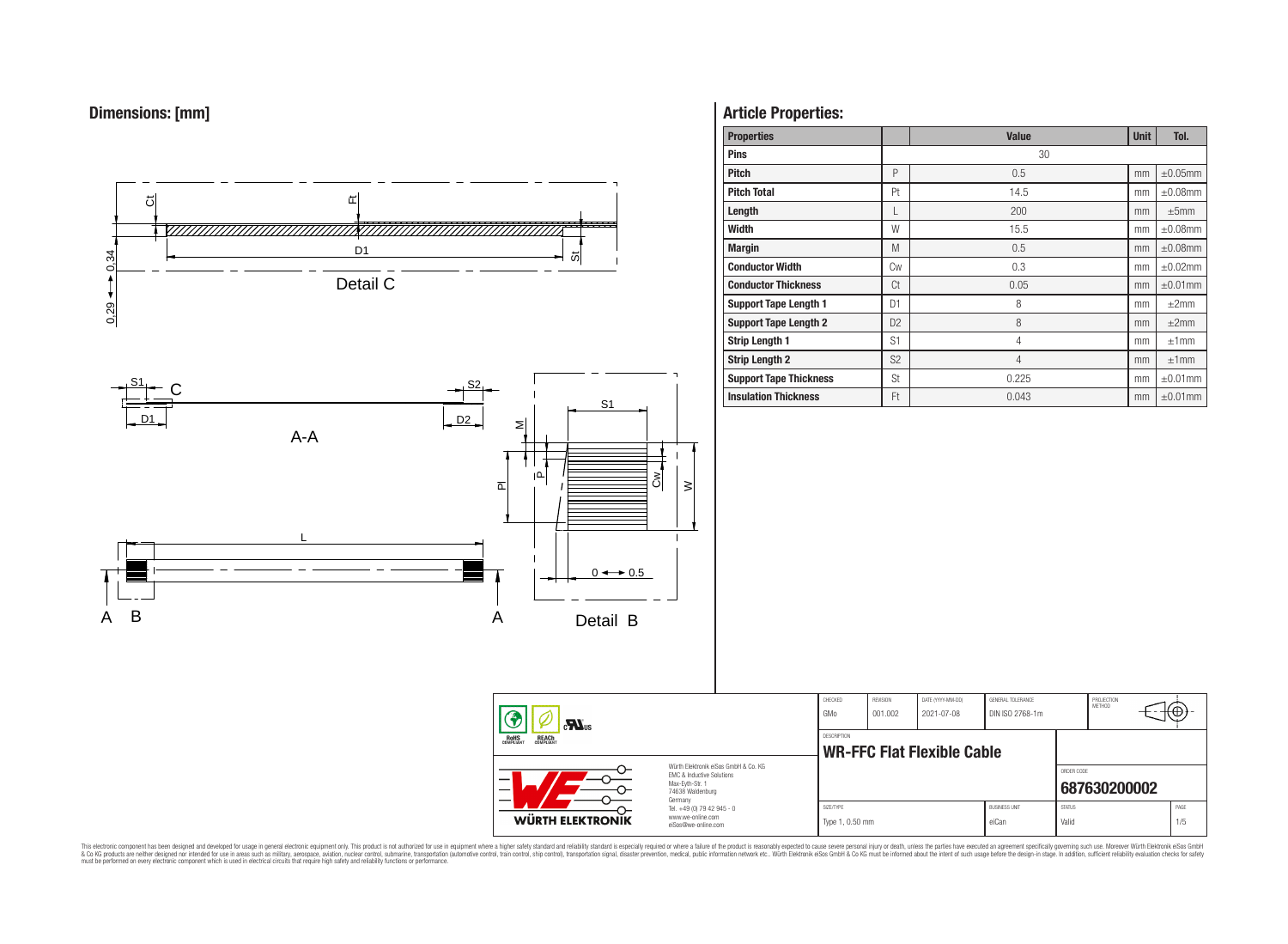



# **Article Properties:**

| <b>Properties</b>             |                | <b>Value</b>   | <b>Unit</b> | Tol.          |
|-------------------------------|----------------|----------------|-------------|---------------|
| <b>Pins</b>                   |                | 30             |             |               |
| <b>Pitch</b>                  | P              | 0.5            | mm          | $\pm 0.05$ mm |
| <b>Pitch Total</b>            | Pt             | 14.5           | mm          | $\pm 0.08$ mm |
| Length                        | L              | 200            | mm          | $\pm 5$ mm    |
| Width                         | W              | 15.5           | mm          | $\pm 0.08$ mm |
| <b>Margin</b>                 | M              | 0.5            | mm          | $\pm 0.08$ mm |
| <b>Conductor Width</b>        | <b>Cw</b>      | 0.3            | mm          | $\pm 0.02$ mm |
| <b>Conductor Thickness</b>    | Ct             | 0.05           | mm          | $\pm 0.01$ mm |
| <b>Support Tape Length 1</b>  | D <sub>1</sub> | 8              | mm          | $\pm 2$ mm    |
| <b>Support Tape Length 2</b>  | D <sub>2</sub> | 8              | mm          | ±2mm          |
| <b>Strip Length 1</b>         | S1             | $\overline{4}$ | mm          | ±1mm          |
| <b>Strip Length 2</b>         | S <sub>2</sub> | $\overline{4}$ | mm          | ±1mm          |
| <b>Support Tape Thickness</b> | St             | 0.225          | mm          | $\pm 0.01$ mm |
| <b>Insulation Thickness</b>   | Ft             | 0.043          | mm          | $\pm 0.01$ mm |

| $c$ $\mathbf{M}_{\text{us}}$<br><b>ROHS</b><br>COMPLIANT<br><b>REACH</b><br>COMPLIANT<br>Würth Elektronik eiSos GmbH & Co. KG<br><b>EMC &amp; Inductive Solutions</b><br>Max-Evth-Str. 1<br>—<br>74638 Waldenburg |  | CHECKED<br>GMo                                                                    | REVISION<br>001.002          | DATE (YYYY-MM-DD)<br>2021-07-08 | GENERAL TOLERANCE<br>DIN ISO 2768-1m |                               | PROJECTION<br><b>METHOD</b> |              |             |
|-------------------------------------------------------------------------------------------------------------------------------------------------------------------------------------------------------------------|--|-----------------------------------------------------------------------------------|------------------------------|---------------------------------|--------------------------------------|-------------------------------|-----------------------------|--------------|-------------|
|                                                                                                                                                                                                                   |  | DESCRIPTION<br>WR-FFC Flat Flexible Cable                                         |                              |                                 |                                      |                               |                             |              |             |
|                                                                                                                                                                                                                   |  |                                                                                   |                              |                                 |                                      |                               | ORDER CODE                  | 687630200002 |             |
| <b>WÜRTH ELEKTRONIK</b>                                                                                                                                                                                           |  | Germany<br>Tel. +49 (0) 79 42 945 - 0<br>www.we-online.com<br>eiSos@we-online.com | SIZE/TYPE<br>Type 1, 0.50 mm |                                 |                                      | <b>BUSINESS UNIT</b><br>eiCan | <b>STATUS</b><br>Valid      |              | PAGE<br>1/5 |

This electronic component has been designed and developed for usage in general electronic equipment only. This product is not authorized for subserved requipment where a higher selection equipment where a higher selection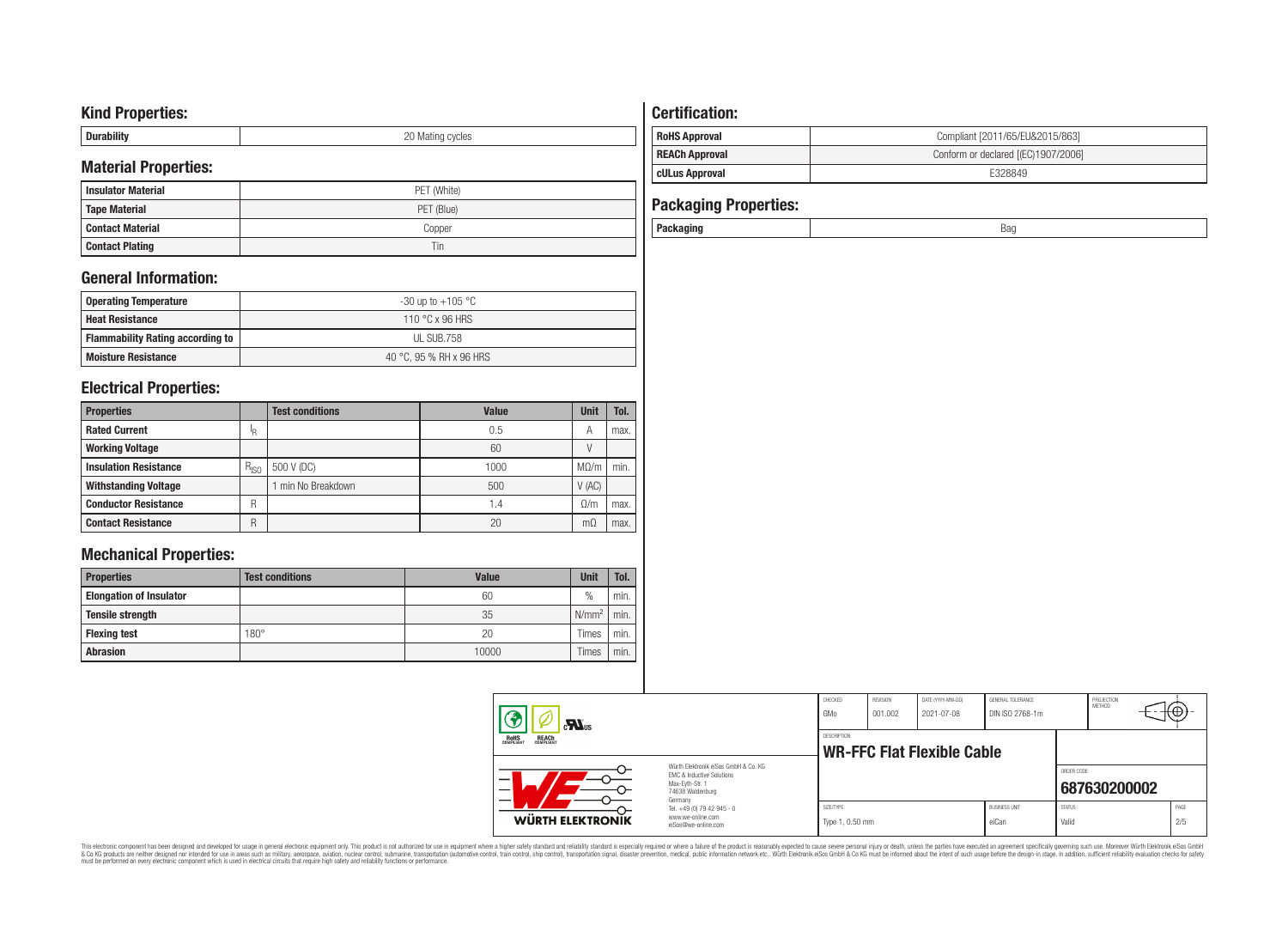# **Kind Properties:**

| <b>Duruping</b> | ററ<br>20 Mating cycles |
|-----------------|------------------------|

# **Material Properties:**

| <b>Insulator Material</b> | PET (White) |
|---------------------------|-------------|
| <b>Tape Material</b>      | PET (Blue)  |
| <b>Contact Material</b>   | Copper      |
| <b>Contact Plating</b>    | Tin         |

# **General Information:**

| Operating Temperature                   | -30 up to +105 $^{\circ}$ C |
|-----------------------------------------|-----------------------------|
| <b>Heat Resistance</b>                  | 110 °C x 96 HRS             |
| <b>Flammability Rating according to</b> | UL SUB.758                  |
| <b>Moisture Resistance</b>              | 40 °C, 95 % RH x 96 HRS     |

# **Electrical Properties:**

| <b>Properties</b>            |           | <b>Test conditions</b> | Value | <b>Unit</b> | Tol. |
|------------------------------|-----------|------------------------|-------|-------------|------|
| <b>Rated Current</b>         | 'R        |                        | 0.5   | А           | max. |
| <b>Working Voltage</b>       |           |                        | 60    |             |      |
| <b>Insulation Resistance</b> | $R_{ISO}$ | 500 V (DC)             | 1000  | $M\Omega/m$ | min. |
| <b>Withstanding Voltage</b>  |           | min No Breakdown       | 500   | V(AC)       |      |
| <b>Conductor Resistance</b>  | R         |                        | 1.4   | $\Omega/m$  | max. |
| <b>Contact Resistance</b>    | R         |                        | 20    | mΩ          | max. |

# **Mechanical Properties:**

| <b>Properties</b>              | <b>Test conditions</b> | Value | <b>Unit</b>       | Tol. |
|--------------------------------|------------------------|-------|-------------------|------|
| <b>Elongation of Insulator</b> |                        | 60    | $\frac{0}{0}$     | min. |
| <b>Tensile strength</b>        |                        | 35    | N/mm <sup>2</sup> | min. |
| <b>Flexing test</b>            | $180^\circ$            | 20    | Times             | min. |
| <b>Abrasion</b>                |                        | 10000 | Times             | min. |

# **Certification: RoHS Approval RoHS Approval Compliant** [2011/65/EU&2015/863] **REACh Approval REACh Approval Conform or declared [(EC)1907/2006]**

# **cULus Approval E328849**

| <b>Packaging Properties:</b> |     |
|------------------------------|-----|
| Packaging                    | Bag |

| $\mathbf{M}_{\text{us}}$<br><b>ROHS</b><br>COMPLIANT<br><b>REACH</b><br>COMPLIANT |                                                                                                          | CHECKED<br>GMo                                          | REVISION<br>001.002 | DATE (YYYY-MM-DD)<br>2021-07-08 | GENERAL TOLERANCE<br>DIN ISO 2768-1m |                        | PROJECTION<br>METHOD | ιΦ          |
|-----------------------------------------------------------------------------------|----------------------------------------------------------------------------------------------------------|---------------------------------------------------------|---------------------|---------------------------------|--------------------------------------|------------------------|----------------------|-------------|
|                                                                                   |                                                                                                          | <b>DESCRIPTION</b><br><b>WR-FFC Flat Flexible Cable</b> |                     |                                 |                                      |                        |                      |             |
| –                                                                                 | Würth Elektronik eiSos GmbH & Co. KG<br>FMC & Inductive Solutions<br>Max-Evth-Str. 1<br>74638 Waldenburg |                                                         |                     |                                 |                                      | ORDER CODE             | 687630200002         |             |
| <b>WÜRTH ELEKTRONIK</b>                                                           | Germany<br>Tel. +49 (0) 79 42 945 - 0<br>www.we-online.com<br>eiSos@we-online.com                        | SIZE/TYPE<br>Type 1, 0.50 mm                            |                     |                                 | <b>BUSINESS UNIT</b><br>eiCan        | <b>STATUS</b><br>Valid |                      | PAGE<br>2/5 |

This electronic component has been designed and developed for usage in general electronic equipment only. This product is not authorized for subserved requipment where a higher selection equipment where a higher selection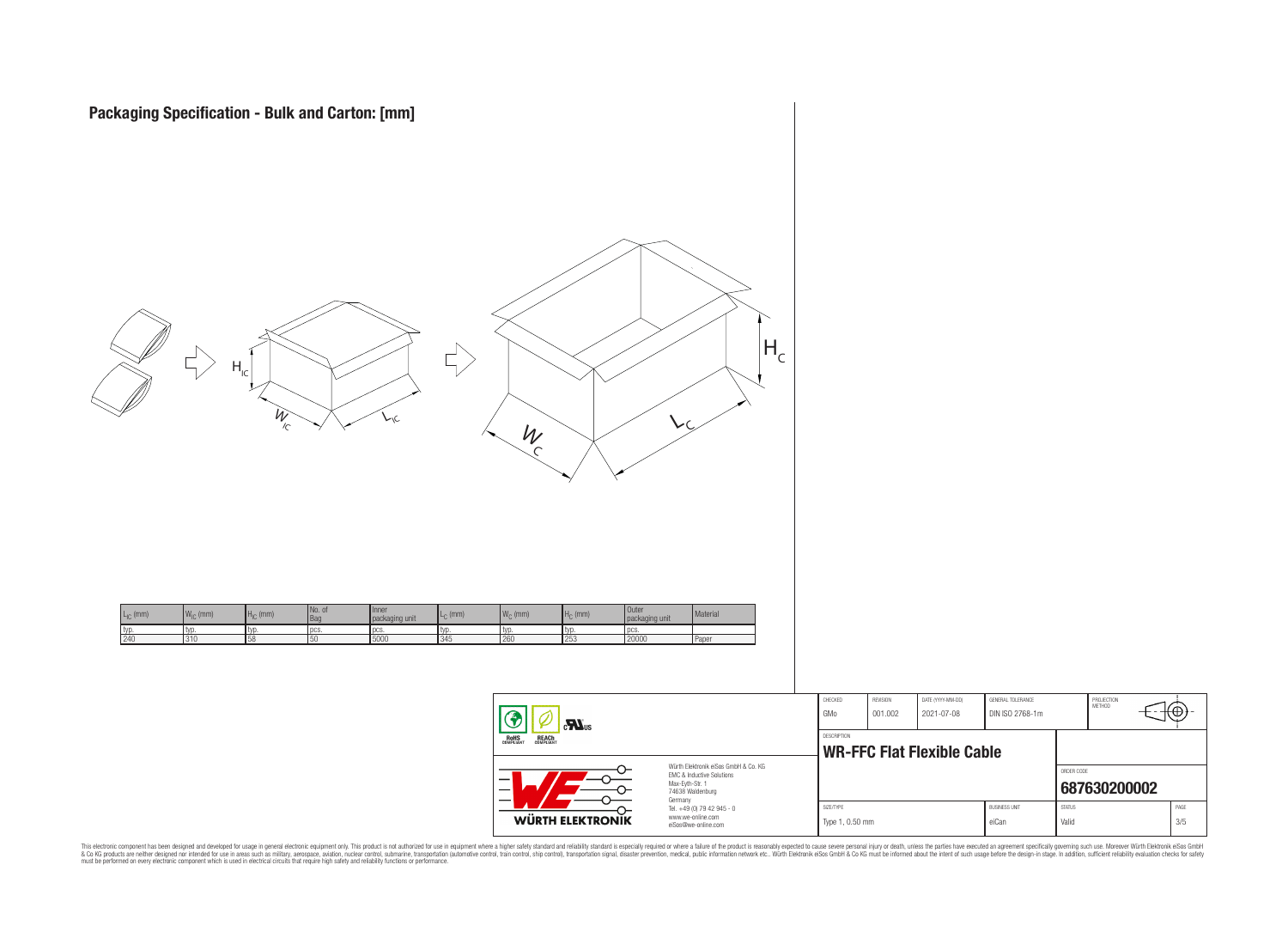

|                                                                                                                                | CHECKED<br>GMo               | <b>HEVISION</b><br>001.002 | DAIL (YYYY-MM-DD)<br>2021-07-08   | GENERAL TOLERANCE<br>DIN ISO 2768-1m |                        | PROJECTION<br><b>METHOD</b> | ₩⊕          |  |
|--------------------------------------------------------------------------------------------------------------------------------|------------------------------|----------------------------|-----------------------------------|--------------------------------------|------------------------|-----------------------------|-------------|--|
|                                                                                                                                | <b>DESCRIPTION</b>           |                            | <b>WR-FFC Flat Flexible Cable</b> |                                      | ORDER CODE             |                             |             |  |
| Würth Flektronik eiSos GmbH & Co. KG<br><b>FMC &amp; Inductive Solutions</b><br>Max-Eyth-Str. 1<br>74638 Waldenburg<br>Germany |                              |                            |                                   |                                      |                        | 687630200002                |             |  |
| Tel. +49 (0) 79 42 945 - 0<br>www.we-online.com<br>eiSos@we-online.com                                                         | SIZE/TYPE<br>Type 1, 0.50 mm |                            |                                   | <b>BUSINESS UNIT</b><br>eiCan        | <b>STATUS</b><br>Valid |                             | PAGE<br>3/5 |  |

This electronic component has been designed and developed for usage in general electronic equipment only. This product is not authorized for subserved requipment where a higher selection equipment where a higher selection

WÜRTH ELEKTRONIK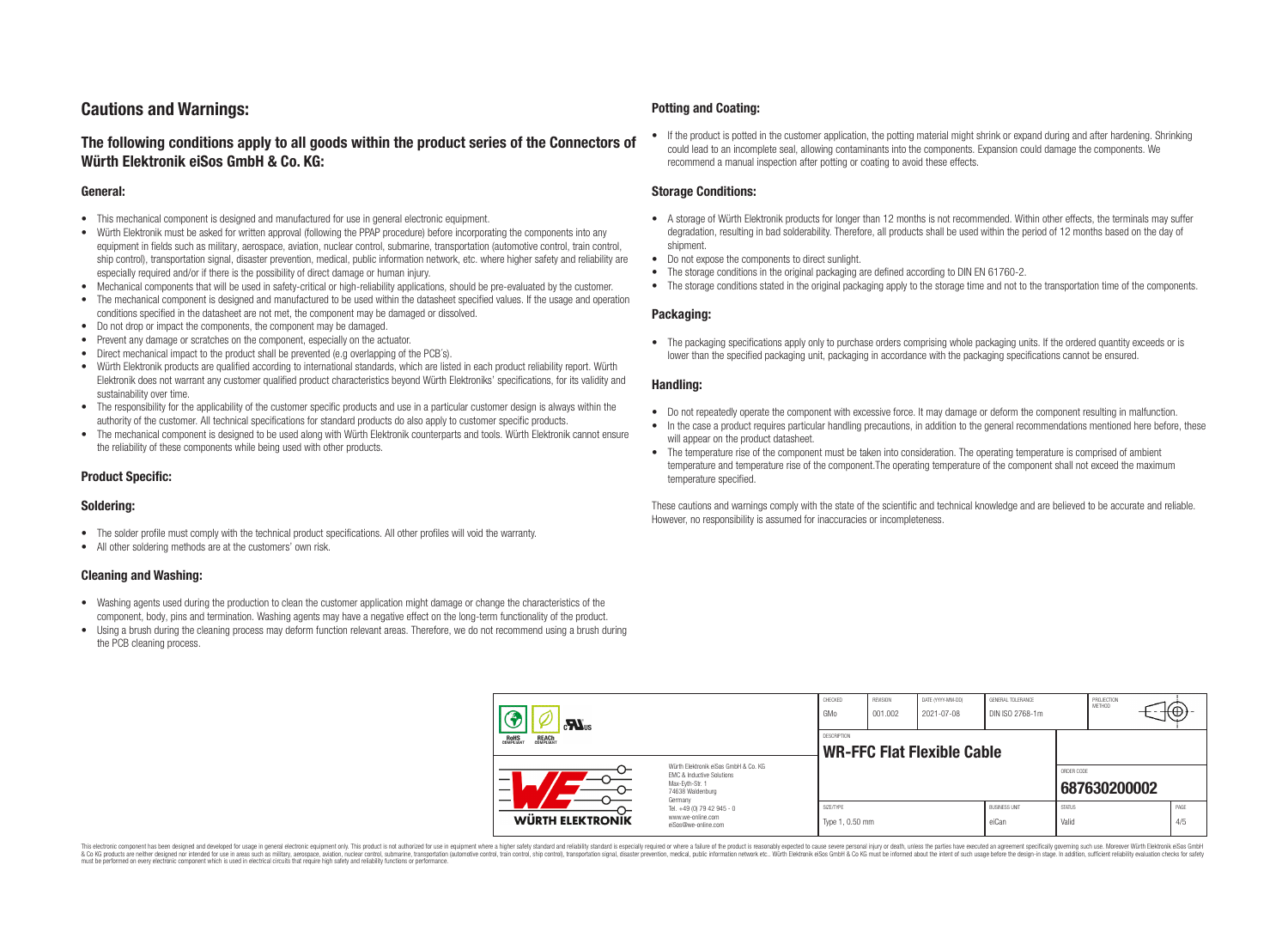# **Cautions and Warnings:**

# **The following conditions apply to all goods within the product series of the Connectors of Würth Elektronik eiSos GmbH & Co. KG:**

#### **General:**

- This mechanical component is designed and manufactured for use in general electronic equipment.
- Würth Elektronik must be asked for written approval (following the PPAP procedure) before incorporating the components into any equipment in fields such as military, aerospace, aviation, nuclear control, submarine, transportation (automotive control, train control, ship control), transportation signal, disaster prevention, medical, public information network, etc. where higher safety and reliability are especially required and/or if there is the possibility of direct damage or human injury.
- Mechanical components that will be used in safety-critical or high-reliability applications, should be pre-evaluated by the customer.
- The mechanical component is designed and manufactured to be used within the datasheet specified values. If the usage and operation conditions specified in the datasheet are not met, the component may be damaged or dissolved.
- Do not drop or impact the components, the component may be damaged.
- Prevent any damage or scratches on the component, especially on the actuator.
- Direct mechanical impact to the product shall be prevented (e.g overlapping of the PCB's).
- Würth Elektronik products are qualified according to international standards, which are listed in each product reliability report. Würth Elektronik does not warrant any customer qualified product characteristics beyond Würth Elektroniks' specifications, for its validity and sustainability over time.
- The responsibility for the applicability of the customer specific products and use in a particular customer design is always within the authority of the customer. All technical specifications for standard products do also apply to customer specific products.
- The mechanical component is designed to be used along with Würth Elektronik counterparts and tools. Würth Elektronik cannot ensure the reliability of these components while being used with other products.

#### **Product Specific:**

#### **Soldering:**

- The solder profile must comply with the technical product specifications. All other profiles will void the warranty.
- All other soldering methods are at the customers' own risk.

#### **Cleaning and Washing:**

- Washing agents used during the production to clean the customer application might damage or change the characteristics of the component, body, pins and termination. Washing agents may have a negative effect on the long-term functionality of the product.
- Using a brush during the cleaning process may deform function relevant areas. Therefore, we do not recommend using a brush during the PCB cleaning process.

#### **Potting and Coating:**

• If the product is potted in the customer application, the potting material might shrink or expand during and after hardening. Shrinking could lead to an incomplete seal, allowing contaminants into the components. Expansion could damage the components. We recommend a manual inspection after potting or coating to avoid these effects.

#### **Storage Conditions:**

- A storage of Würth Elektronik products for longer than 12 months is not recommended. Within other effects, the terminals may suffer degradation, resulting in bad solderability. Therefore, all products shall be used within the period of 12 months based on the day of shipment.
- Do not expose the components to direct sunlight.
- The storage conditions in the original packaging are defined according to DIN EN 61760-2.
- The storage conditions stated in the original packaging apply to the storage time and not to the transportation time of the components.

#### **Packaging:**

• The packaging specifications apply only to purchase orders comprising whole packaging units. If the ordered quantity exceeds or is lower than the specified packaging unit, packaging in accordance with the packaging specifications cannot be ensured.

#### **Handling:**

- Do not repeatedly operate the component with excessive force. It may damage or deform the component resulting in malfunction.
- In the case a product requires particular handling precautions, in addition to the general recommendations mentioned here before, these will appear on the product datasheet
- The temperature rise of the component must be taken into consideration. The operating temperature is comprised of ambient temperature and temperature rise of the component.The operating temperature of the component shall not exceed the maximum temperature specified.

These cautions and warnings comply with the state of the scientific and technical knowledge and are believed to be accurate and reliable. However, no responsibility is assumed for inaccuracies or incompleteness.

| $\mathbf{r}$<br>ROHS<br>COMPLIANT<br><b>REACH</b><br>COMPLIANT<br>Würth Elektronik eiSos GmbH & Co. KG<br>EMC & Inductive Solutions<br>–<br>Max-Eyth-Str. 1<br>74638 Waldenburg |                                                                                   | CHECKED<br>GMo                                          | REVISION<br>001.002 | DATE (YYYY-MM-DD)<br>2021-07-08 | GENERAL TOLERANCE<br>DIN ISO 2768-1m |                        | PROJECTION<br>METHOD |  | ₩           |
|---------------------------------------------------------------------------------------------------------------------------------------------------------------------------------|-----------------------------------------------------------------------------------|---------------------------------------------------------|---------------------|---------------------------------|--------------------------------------|------------------------|----------------------|--|-------------|
|                                                                                                                                                                                 |                                                                                   | <b>DESCRIPTION</b><br><b>WR-FFC Flat Flexible Cable</b> |                     |                                 |                                      |                        |                      |  |             |
|                                                                                                                                                                                 |                                                                                   |                                                         |                     |                                 |                                      | ORDER CODE             | 687630200002         |  |             |
| <b>WÜRTH ELEKTRONIK</b>                                                                                                                                                         | Germany<br>Tel. +49 (0) 79 42 945 - 0<br>www.we-online.com<br>eiSos@we-online.com | SIZE/TYPE<br>Type 1, 0.50 mm                            |                     |                                 | <b>BUSINESS UNIT</b><br>eiCan        | <b>STATUS</b><br>Valid |                      |  | PAGE<br>4/5 |

This electronic component has been designed and developed for usage in general electronic equipment only. This product is not authorized for use in equipment where a higher safety standard and reliability standard si espec & Ook product a label and the membed of the seasuch as marked and as which such a membed and the such assume that income in the seasuch and the simulation and the such assume that include to the such a membed and the such